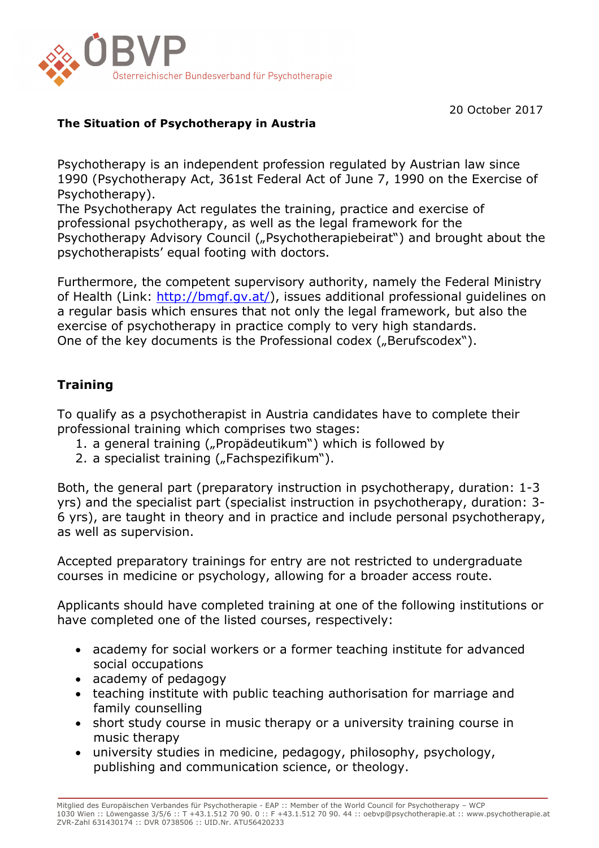

20 October 2017

## **The Situation of Psychotherapy in Austria**

Psychotherapy is an independent profession regulated by Austrian law since 1990 (Psychotherapy Act, 361st Federal Act of June 7, 1990 on the Exercise of Psychotherapy).

The Psychotherapy Act regulates the training, practice and exercise of professional psychotherapy, as well as the legal framework for the Psychotherapy Advisory Council ("Psychotherapiebeirat") and brought about the psychotherapists' equal footing with doctors.

Furthermore, the competent supervisory authority, namely the Federal Ministry of Health (Link: http://bmgf.gv.at/), issues additional professional guidelines on a regular basis which ensures that not only the legal framework, but also the exercise of psychotherapy in practice comply to very high standards. One of the key documents is the Professional codex ("Berufscodex").

# **Training**

To qualify as a psychotherapist in Austria candidates have to complete their professional training which comprises two stages:

- 1. a general training ("Propädeutikum") which is followed by
- 2. a specialist training ("Fachspezifikum").

Both, the general part (preparatory instruction in psychotherapy, duration: 1-3 yrs) and the specialist part (specialist instruction in psychotherapy, duration: 3- 6 yrs), are taught in theory and in practice and include personal psychotherapy, as well as supervision.

Accepted preparatory trainings for entry are not restricted to undergraduate courses in medicine or psychology, allowing for a broader access route.

Applicants should have completed training at one of the following institutions or have completed one of the listed courses, respectively:

- academy for social workers or a former teaching institute for advanced social occupations
- academy of pedagogy
- teaching institute with public teaching authorisation for marriage and family counselling
- short study course in music therapy or a university training course in music therapy
- university studies in medicine, pedagogy, philosophy, psychology, publishing and communication science, or theology.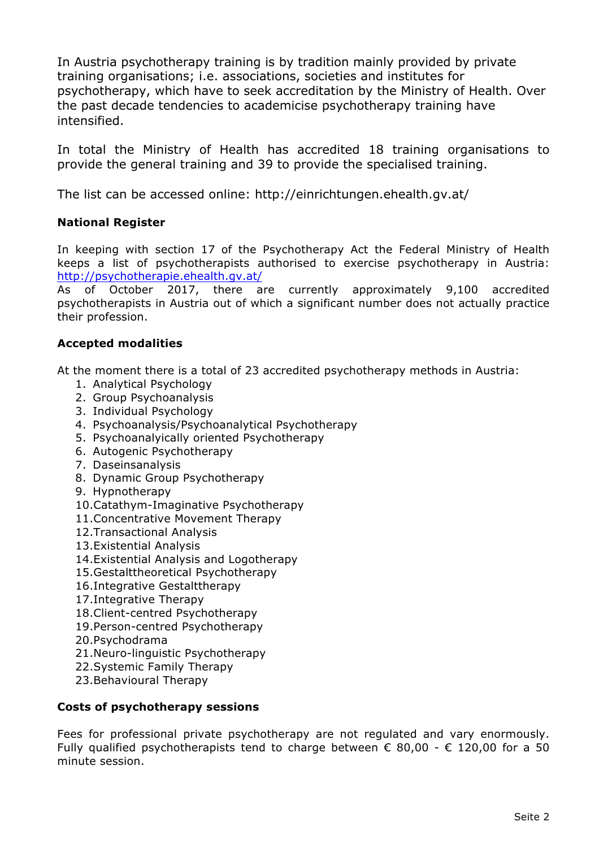In Austria psychotherapy training is by tradition mainly provided by private training organisations; i.e. associations, societies and institutes for psychotherapy, which have to seek accreditation by the Ministry of Health. Over the past decade tendencies to academicise psychotherapy training have intensified.

In total the Ministry of Health has accredited 18 training organisations to provide the general training and 39 to provide the specialised training.

The list can be accessed online: http://einrichtungen.ehealth.gv.at/

### **National Register**

In keeping with section 17 of the Psychotherapy Act the Federal Ministry of Health keeps a list of psychotherapists authorised to exercise psychotherapy in Austria: http://psychotherapie.ehealth.gv.at/

As of October 2017, there are currently approximately 9,100 accredited psychotherapists in Austria out of which a significant number does not actually practice their profession.

### **Accepted modalities**

At the moment there is a total of 23 accredited psychotherapy methods in Austria:

- 1. Analytical Psychology
- 2. Group Psychoanalysis
- 3. Individual Psychology
- 4. Psychoanalysis/Psychoanalytical Psychotherapy
- 5. Psychoanalyically oriented Psychotherapy
- 6. Autogenic Psychotherapy
- 7. Daseinsanalysis
- 8. Dynamic Group Psychotherapy
- 9. Hypnotherapy
- 10.Catathym-Imaginative Psychotherapy
- 11.Concentrative Movement Therapy
- 12.Transactional Analysis
- 13.Existential Analysis
- 14.Existential Analysis and Logotherapy
- 15.Gestalttheoretical Psychotherapy
- 16.Integrative Gestalttherapy
- 17.Integrative Therapy
- 18.Client-centred Psychotherapy
- 19.Person-centred Psychotherapy
- 20.Psychodrama
- 21.Neuro-linguistic Psychotherapy
- 22.Systemic Family Therapy
- 23.Behavioural Therapy

#### **Costs of psychotherapy sessions**

Fees for professional private psychotherapy are not regulated and vary enormously. Fully qualified psychotherapists tend to charge between  $\epsilon$  80,00 -  $\epsilon$  120,00 for a 50 minute session.